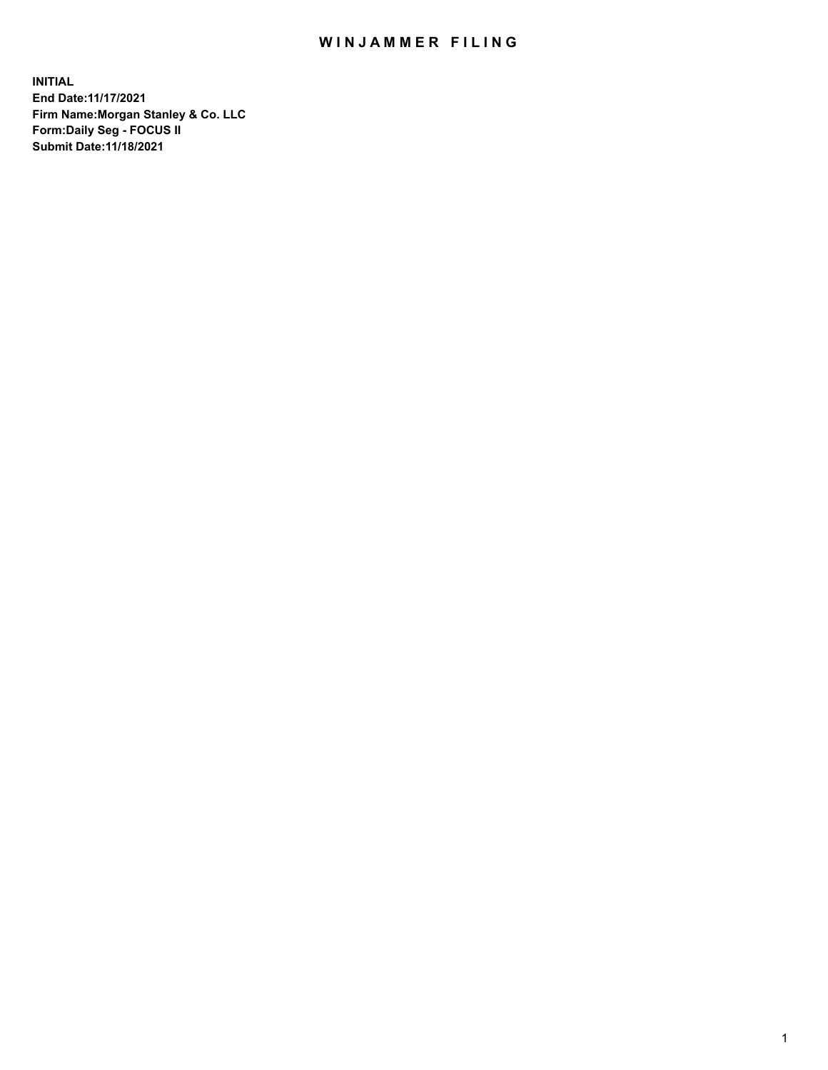## WIN JAMMER FILING

**INITIAL End Date:11/17/2021 Firm Name:Morgan Stanley & Co. LLC Form:Daily Seg - FOCUS II Submit Date:11/18/2021**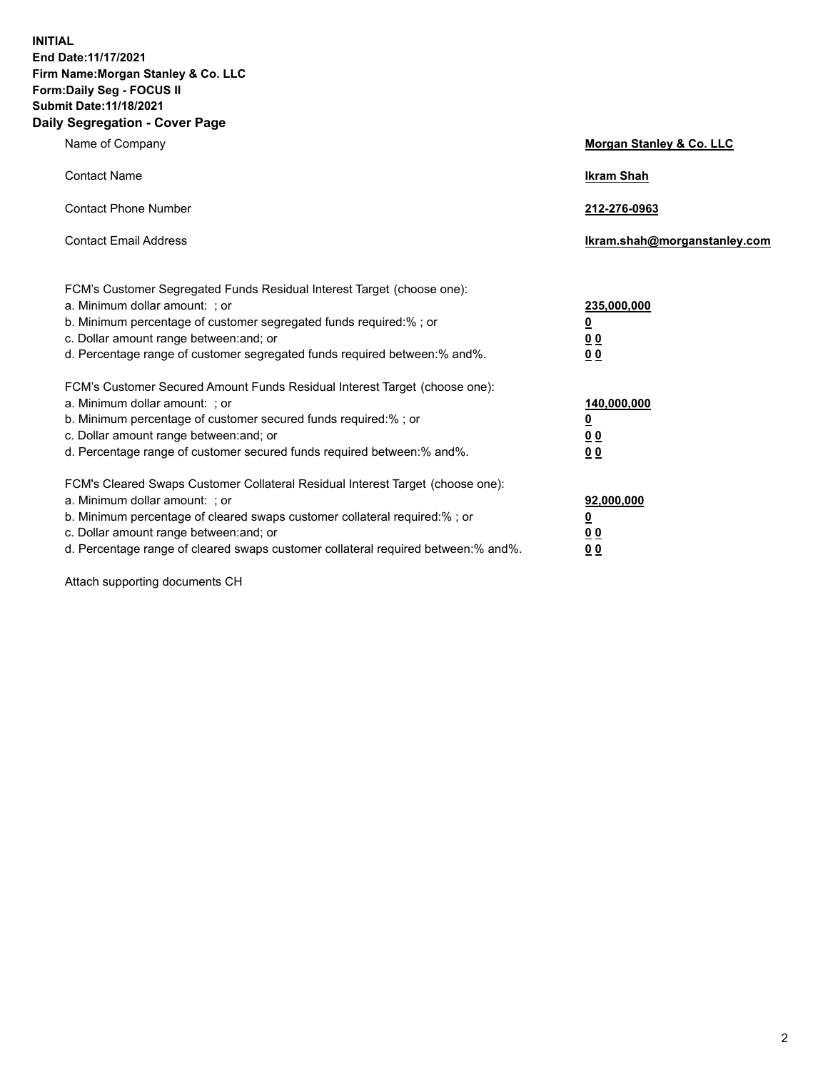**INITIAL End Date:11/17/2021 Firm Name:Morgan Stanley & Co. LLC Form:Daily Seg - FOCUS II Submit Date:11/18/2021 Daily Segregation - Cover Page**

| Name of Company                                                                                                                                                                                                                                                                                                               | Morgan Stanley & Co. LLC                               |
|-------------------------------------------------------------------------------------------------------------------------------------------------------------------------------------------------------------------------------------------------------------------------------------------------------------------------------|--------------------------------------------------------|
| <b>Contact Name</b>                                                                                                                                                                                                                                                                                                           | <b>Ikram Shah</b>                                      |
| <b>Contact Phone Number</b>                                                                                                                                                                                                                                                                                                   | 212-276-0963                                           |
| <b>Contact Email Address</b>                                                                                                                                                                                                                                                                                                  | Ikram.shah@morganstanley.com                           |
| FCM's Customer Segregated Funds Residual Interest Target (choose one):<br>a. Minimum dollar amount: ; or<br>b. Minimum percentage of customer segregated funds required:% ; or<br>c. Dollar amount range between: and; or<br>d. Percentage range of customer segregated funds required between:% and%.                        | 235,000,000<br><u>0</u><br><u>00</u><br>0 <sup>0</sup> |
| FCM's Customer Secured Amount Funds Residual Interest Target (choose one):<br>a. Minimum dollar amount: ; or<br>b. Minimum percentage of customer secured funds required:%; or<br>c. Dollar amount range between: and; or<br>d. Percentage range of customer secured funds required between:% and%.                           | 140,000,000<br><u>0</u><br><u>00</u><br>0 <sub>0</sub> |
| FCM's Cleared Swaps Customer Collateral Residual Interest Target (choose one):<br>a. Minimum dollar amount: ; or<br>b. Minimum percentage of cleared swaps customer collateral required:%; or<br>c. Dollar amount range between: and; or<br>d. Percentage range of cleared swaps customer collateral required between:% and%. | 92,000,000<br><u>0</u><br>0 Q<br>00                    |

Attach supporting documents CH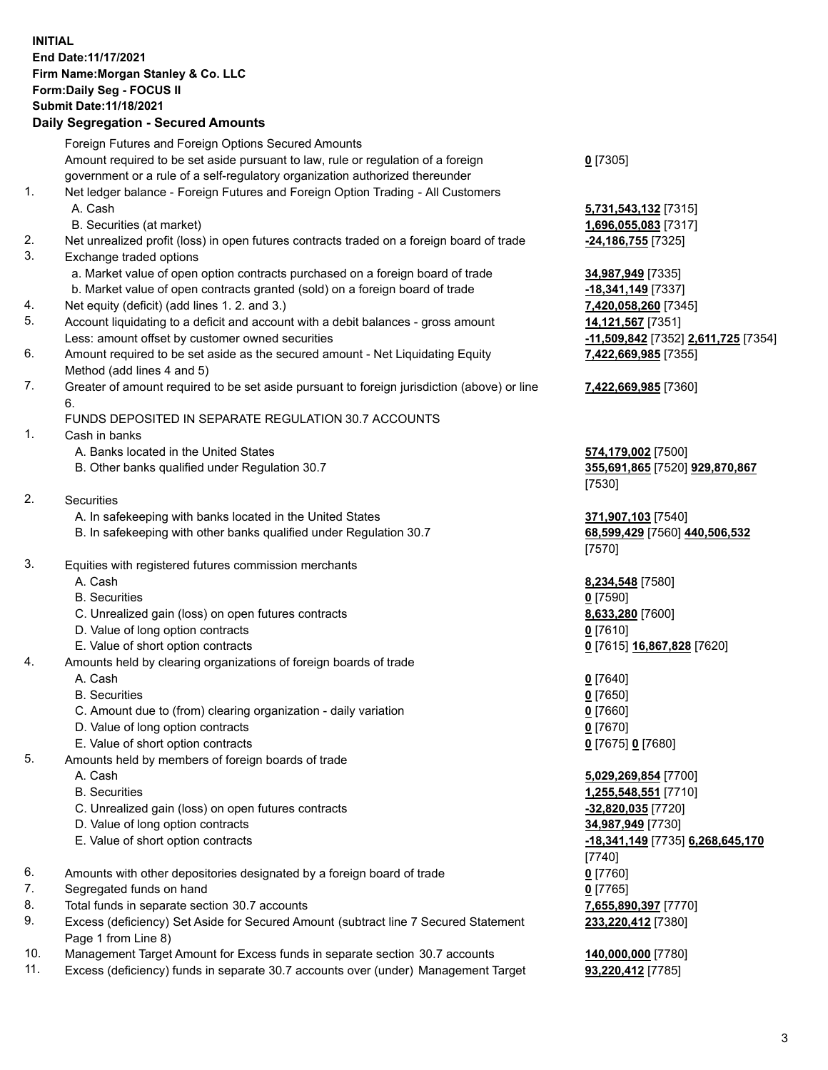## **INITIAL End Date:11/17/2021 Firm Name:Morgan Stanley & Co. LLC Form:Daily Seg - FOCUS II Submit Date:11/18/2021**

## **Daily Segregation - Secured Amounts**

|    | Foreign Futures and Foreign Options Secured Amounts<br>Amount required to be set aside pursuant to law, rule or regulation of a foreign | $0$ [7305]                         |
|----|-----------------------------------------------------------------------------------------------------------------------------------------|------------------------------------|
|    | government or a rule of a self-regulatory organization authorized thereunder                                                            |                                    |
| 1. | Net ledger balance - Foreign Futures and Foreign Option Trading - All Customers                                                         |                                    |
|    | A. Cash                                                                                                                                 | 5,731,543,132 [7315]               |
|    | B. Securities (at market)                                                                                                               | 1,696,055,083 [7317]               |
| 2. | Net unrealized profit (loss) in open futures contracts traded on a foreign board of trade                                               | -24,186,755 <sup>[7325]</sup>      |
| 3. | Exchange traded options                                                                                                                 |                                    |
|    | a. Market value of open option contracts purchased on a foreign board of trade                                                          | 34,987,949 [7335]                  |
|    | b. Market value of open contracts granted (sold) on a foreign board of trade                                                            | -18,341,149 [7337]                 |
| 4. | Net equity (deficit) (add lines 1. 2. and 3.)                                                                                           | 7,420,058,260 [7345]               |
| 5. | Account liquidating to a deficit and account with a debit balances - gross amount                                                       | 14,121,567 [7351]                  |
|    | Less: amount offset by customer owned securities                                                                                        | <mark>-11,509,842</mark> [7352] 2. |
| 6. | Amount required to be set aside as the secured amount - Net Liquidating Equity                                                          | 7,422,669,985 [7355]               |
|    | Method (add lines 4 and 5)                                                                                                              |                                    |
| 7. | Greater of amount required to be set aside pursuant to foreign jurisdiction (above) or line<br>6.                                       | <u>7,422,669,985</u> [7360]        |
|    | FUNDS DEPOSITED IN SEPARATE REGULATION 30.7 ACCOUNTS                                                                                    |                                    |
| 1. | Cash in banks                                                                                                                           |                                    |
|    | A. Banks located in the United States                                                                                                   | 574,179,002 [7500]                 |
|    | B. Other banks qualified under Regulation 30.7                                                                                          | 355,691,865 [7520] 9               |
|    |                                                                                                                                         | [7530]                             |
| 2. | <b>Securities</b>                                                                                                                       |                                    |
|    | A. In safekeeping with banks located in the United States                                                                               | 371,907,103 [7540]                 |
|    | B. In safekeeping with other banks qualified under Regulation 30.7                                                                      | 68,599,429 [7560] 44<br>[7570]     |
| 3. | Equities with registered futures commission merchants                                                                                   |                                    |
|    | A. Cash                                                                                                                                 | 8,234,548 [7580]                   |
|    | <b>B.</b> Securities                                                                                                                    | $0$ [7590]                         |
|    | C. Unrealized gain (loss) on open futures contracts                                                                                     | 8,633,280 [7600]                   |
|    | D. Value of long option contracts                                                                                                       | $0$ [7610]                         |
|    | E. Value of short option contracts                                                                                                      | 0 [7615] 16,867,828                |
| 4. | Amounts held by clearing organizations of foreign boards of trade                                                                       |                                    |
|    | A. Cash                                                                                                                                 | $0$ [7640]                         |
|    | <b>B.</b> Securities                                                                                                                    | $0$ [7650]                         |
|    | C. Amount due to (from) clearing organization - daily variation                                                                         | $0$ [7660]                         |
|    | D. Value of long option contracts                                                                                                       | $0$ [7670]                         |
|    | E. Value of short option contracts                                                                                                      | 0 [7675] 0 [7680]                  |
| 5. | Amounts held by members of foreign boards of trade                                                                                      |                                    |
|    | A. Cash                                                                                                                                 | 5,029,269,854 [7700]               |
|    | <b>B.</b> Securities                                                                                                                    | 1,255,548,551 [7710]               |
|    | C. Unrealized gain (loss) on open futures contracts                                                                                     | -32,820,035 [7720]                 |
|    | D. Value of long option contracts                                                                                                       | 34,987,949 [7730]                  |
|    | E. Value of short option contracts                                                                                                      | -18,341,149 [7735] 6.              |
|    |                                                                                                                                         | [7740]                             |
| 6. | Amounts with other depositories designated by a foreign board of trade                                                                  | $0$ [7760]                         |
| 7. | Segregated funds on hand                                                                                                                | $0$ [7765]                         |
| 8. | Total funds in separate section 30.7 accounts                                                                                           | 7,655,890,397 [7770]               |
| 9. | Excess (deficiency) Set Aside for Secured Amount (subtract line 7 Secured Statement<br>Page 1 from Line 8)                              | 233,220,412 [7380]                 |

- 10. Management Target Amount for Excess funds in separate section 30.7 accounts **140,000,000** [7780]
- 11. Excess (deficiency) funds in separate 30.7 accounts over (under) Management Target **93,220,412** [7785]

Less: amount offset by customer owned securities **-11,509,842** [7352] **2,611,725** [7354] **2,985** [7355]

## **0,985** [7360]

865 [7520] **929,870,867** 

B. In safekeeping with other banks qualified under Regulation 30.7 **68,599,429** [7560] **440,506,532**

E. Value of short option contracts **0** [7615] **16,867,828** [7620]

 E. Value of short option contracts **-18,341,149** [7735] **6,268,645,170 212** [7380]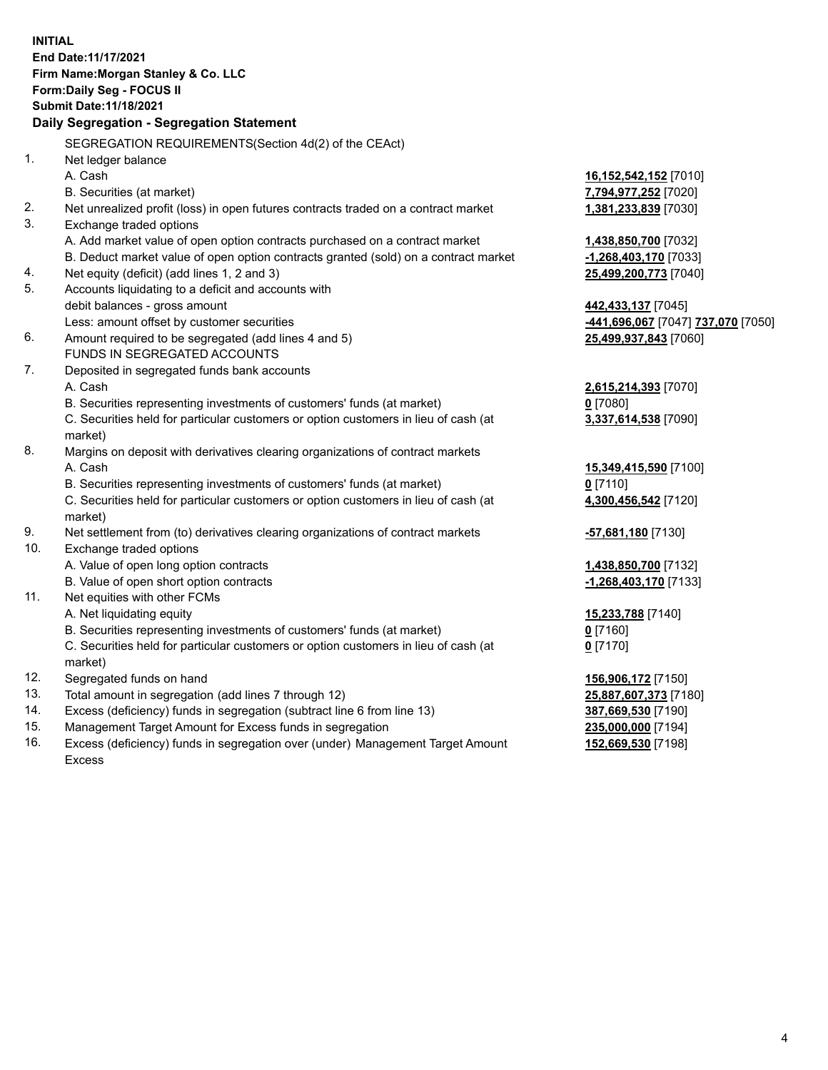|     | <b>INITIAL</b><br>End Date: 11/17/2021<br>Firm Name: Morgan Stanley & Co. LLC<br>Form: Daily Seg - FOCUS II<br><b>Submit Date: 11/18/2021</b><br>Daily Segregation - Segregation Statement |                                                              |
|-----|--------------------------------------------------------------------------------------------------------------------------------------------------------------------------------------------|--------------------------------------------------------------|
|     |                                                                                                                                                                                            |                                                              |
|     | SEGREGATION REQUIREMENTS(Section 4d(2) of the CEAct)                                                                                                                                       |                                                              |
| 1.  | Net ledger balance                                                                                                                                                                         |                                                              |
|     | A. Cash                                                                                                                                                                                    | 16,152,542,152 [7010]                                        |
| 2.  | B. Securities (at market)                                                                                                                                                                  | 7,794,977,252 [7020]<br>1,381,233,839 [7030]                 |
| 3.  | Net unrealized profit (loss) in open futures contracts traded on a contract market<br>Exchange traded options                                                                              |                                                              |
|     | A. Add market value of open option contracts purchased on a contract market                                                                                                                | 1,438,850,700 [7032]                                         |
|     | B. Deduct market value of open option contracts granted (sold) on a contract market                                                                                                        | -1,268,403,170 [7033]                                        |
| 4.  | Net equity (deficit) (add lines 1, 2 and 3)                                                                                                                                                | 25,499,200,773 [7040]                                        |
| 5.  | Accounts liquidating to a deficit and accounts with                                                                                                                                        |                                                              |
|     | debit balances - gross amount                                                                                                                                                              | 442,433,137 [7045]                                           |
|     | Less: amount offset by customer securities                                                                                                                                                 | <mark>-441,696,067</mark> [7047] <mark>737,070</mark> [7050] |
| 6.  | Amount required to be segregated (add lines 4 and 5)                                                                                                                                       | 25,499,937,843 [7060]                                        |
|     | FUNDS IN SEGREGATED ACCOUNTS                                                                                                                                                               |                                                              |
| 7.  | Deposited in segregated funds bank accounts                                                                                                                                                |                                                              |
|     | A. Cash                                                                                                                                                                                    | 2,615,214,393 [7070]                                         |
|     | B. Securities representing investments of customers' funds (at market)                                                                                                                     | $0$ [7080]                                                   |
|     | C. Securities held for particular customers or option customers in lieu of cash (at<br>market)                                                                                             | 3,337,614,538 [7090]                                         |
| 8.  | Margins on deposit with derivatives clearing organizations of contract markets                                                                                                             |                                                              |
|     | A. Cash                                                                                                                                                                                    | 15,349,415,590 [7100]                                        |
|     | B. Securities representing investments of customers' funds (at market)                                                                                                                     | $0$ [7110]                                                   |
|     | C. Securities held for particular customers or option customers in lieu of cash (at<br>market)                                                                                             | 4,300,456,542 [7120]                                         |
| 9.  | Net settlement from (to) derivatives clearing organizations of contract markets                                                                                                            | <u>-57,681,180</u> [7130]                                    |
| 10. | Exchange traded options                                                                                                                                                                    |                                                              |
|     | A. Value of open long option contracts                                                                                                                                                     | 1,438,850,700 [7132]                                         |
|     | B. Value of open short option contracts                                                                                                                                                    | -1,268,403,170 [7133]                                        |
| 11. | Net equities with other FCMs                                                                                                                                                               |                                                              |
|     | A. Net liquidating equity                                                                                                                                                                  | 15,233,788 [7140]                                            |
|     | B. Securities representing investments of customers' funds (at market)                                                                                                                     | $0$ [7160]                                                   |
|     | C. Securities held for particular customers or option customers in lieu of cash (at                                                                                                        | $0$ [7170]                                                   |
|     | market)                                                                                                                                                                                    |                                                              |
| 12. | Segregated funds on hand                                                                                                                                                                   | 156,906,172 [7150]                                           |
| 13. | Total amount in segregation (add lines 7 through 12)                                                                                                                                       | 25,887,607,373 [7180]                                        |
| 14. | Excess (deficiency) funds in segregation (subtract line 6 from line 13)                                                                                                                    | 387,669,530 [7190]                                           |
| 15. | Management Target Amount for Excess funds in segregation                                                                                                                                   | 235,000,000 [7194]                                           |
| 16. | Excess (deficiency) funds in segregation over (under) Management Target Amount                                                                                                             | 152,669,530 [7198]                                           |

16. Excess (deficiency) funds in segregation over (under) Management Target Amount Excess